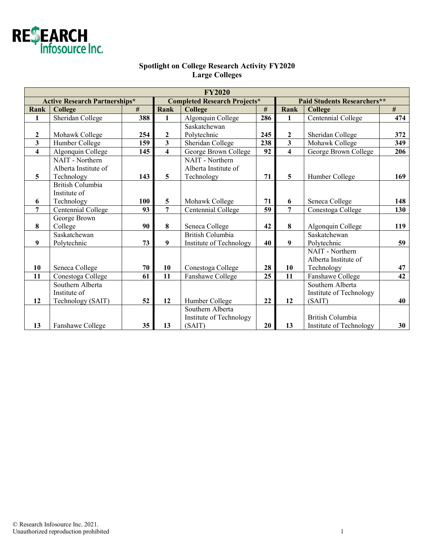

## **Spotlight on College Research Activity FY2020 Large Colleges**

| <b>FY2020</b>                        |                         |     |                                     |                         |     |                                    |                         |     |  |  |  |
|--------------------------------------|-------------------------|-----|-------------------------------------|-------------------------|-----|------------------------------------|-------------------------|-----|--|--|--|
| <b>Active Research Partnerships*</b> |                         |     | <b>Completed Research Projects*</b> |                         |     | <b>Paid Students Researchers**</b> |                         |     |  |  |  |
| Rank                                 | College                 | #   | Rank                                | <b>College</b>          | #   | Rank                               | College                 | #   |  |  |  |
| 1                                    | <b>Sheridan College</b> | 388 | $\mathbf{1}$                        | Algonquin College       | 286 | 1                                  | Centennial College      | 474 |  |  |  |
|                                      |                         |     |                                     | Saskatchewan            |     |                                    |                         |     |  |  |  |
| $\boldsymbol{2}$                     | Mohawk College          | 254 | $\boldsymbol{2}$                    | Polytechnic             | 245 | $\boldsymbol{2}$                   | Sheridan College        | 372 |  |  |  |
| 3                                    | Humber College          | 159 | $\overline{\mathbf{3}}$             | Sheridan College        | 238 | $\overline{\mathbf{3}}$            | Mohawk College          | 349 |  |  |  |
| $\overline{\mathbf{4}}$              | Algonquin College       | 145 | $\overline{\mathbf{4}}$             | George Brown College    | 92  | $\overline{\mathbf{4}}$            | George Brown College    | 206 |  |  |  |
|                                      | NAIT - Northern         |     |                                     | NAIT - Northern         |     |                                    |                         |     |  |  |  |
|                                      | Alberta Institute of    |     |                                     | Alberta Institute of    |     |                                    |                         |     |  |  |  |
| 5                                    | Technology              | 143 | 5                                   | Technology              | 71  | 5                                  | Humber College          | 169 |  |  |  |
|                                      | <b>British Columbia</b> |     |                                     |                         |     |                                    |                         |     |  |  |  |
|                                      | Institute of            |     |                                     |                         |     |                                    |                         |     |  |  |  |
| 6                                    | Technology              | 100 | 5                                   | Mohawk College          | 71  | 6                                  | Seneca College          | 148 |  |  |  |
| $\overline{7}$                       | Centennial College      | 93  | 7                                   | Centennial College      | 59  | $\overline{7}$                     | Conestoga College       | 130 |  |  |  |
|                                      | George Brown            |     |                                     |                         |     |                                    |                         |     |  |  |  |
| 8                                    | College                 | 90  | 8                                   | Seneca College          | 42  | 8                                  | Algonquin College       | 119 |  |  |  |
|                                      | Saskatchewan            |     |                                     | <b>British Columbia</b> |     |                                    | Saskatchewan            |     |  |  |  |
| 9                                    | Polytechnic             | 73  | 9                                   | Institute of Technology | 40  | 9                                  | Polytechnic             | 59  |  |  |  |
|                                      |                         |     |                                     |                         |     |                                    | NAIT - Northern         |     |  |  |  |
|                                      |                         |     |                                     |                         |     |                                    | Alberta Institute of    |     |  |  |  |
| 10                                   | Seneca College          | 70  | 10                                  | Conestoga College       | 28  | 10                                 | Technology              | 47  |  |  |  |
| 11                                   | Conestoga College       | 61  | 11                                  | Fanshawe College        | 25  | 11                                 | Fanshawe College        | 42  |  |  |  |
|                                      | Southern Alberta        |     |                                     |                         |     |                                    | Southern Alberta        |     |  |  |  |
|                                      | Institute of            |     |                                     |                         |     |                                    | Institute of Technology |     |  |  |  |
| 12                                   | Technology (SAIT)       | 52  | 12                                  | Humber College          | 22  | 12                                 | (SAIT)                  | 40  |  |  |  |
|                                      |                         |     |                                     | Southern Alberta        |     |                                    |                         |     |  |  |  |
|                                      |                         |     |                                     | Institute of Technology |     |                                    | <b>British Columbia</b> |     |  |  |  |
| 13                                   | Fanshawe College        | 35  | 13                                  | (SAIT)                  | 20  | 13                                 | Institute of Technology | 30  |  |  |  |